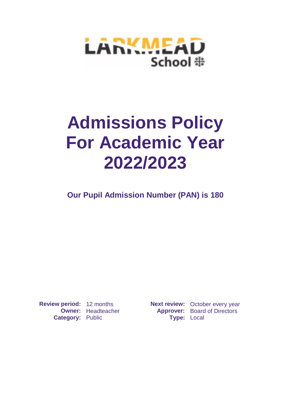

# **Admissions Policy For Academic Year 2022/2023**

**Our Pupil Admission Number (PAN) is 180**

**Category: Public** 

**Review period:** 12 months **Next review:** October every year **Owner:** Headteacher **Approver:** Board of Directors<br> **Approver:** Board of Directors<br> **Approver:** Local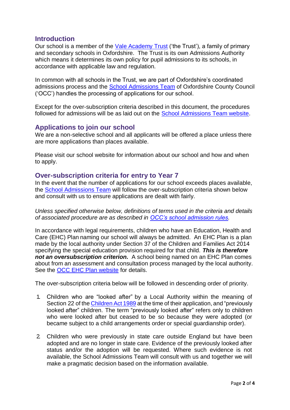### **Introduction**

Our school is a member of the [Vale Academy Trust](https://www.vale-academy.org/) ('the Trust'), a family of primary and secondary schools in Oxfordshire. The Trust is its own Admissions Authority which means it determines its own policy for pupil admissions to its schools, in accordance with applicable law and regulation.

In common with all schools in the Trust, we are part of Oxfordshire's coordinated admissions process and the [School Admissions Team](https://www.oxfordshire.gov.uk/residents/schools/apply-school-place?utm_term=nil&utm_content=) of Oxfordshire County Council ('OCC') handles the processing of applications for our school.

Except for the over-subscription criteria described in this document, the procedures followed for admissions will be as laid out on the [School Admissions Team website.](https://www.oxfordshire.gov.uk/residents/schools/apply-school-place?utm_term=nil&utm_content=)

# **Applications to join our school**

We are a non-selective school and all applicants will be offered a place unless there are more applications than places available.

Please visit our school website for information about our school and how and when to apply.

## **Over-subscription criteria for entry to Year 7**

In the event that the number of applications for our school exceeds places available, the [School Admissions Team](https://www.oxfordshire.gov.uk/residents/schools/apply-school-place?utm_term=nil&utm_content=) will follow the over-subscription criteria shown below and consult with us to ensure applications are dealt with fairly.

*Unless specified otherwise below, definitions of terms used in the criteria and details of associated procedure are as described in [OCC's school admission rules.](https://www.oxfordshire.gov.uk/residents/schools/apply-school-place/school-admission-rules-and-policies/admission-rules)*

In accordance with legal requirements, children who have an Education, Health and Care (EHC) Plan naming our school will always be admitted. An EHC Plan is a plan made by the local authority under Section 37 of the Children and Families Act 2014 specifying the special education provision required for that child. *This is therefore not an oversubscription criterion.* A school being named on an EHC Plan comes about from an assessment and consultation process managed by the local authority. See the [OCC EHC Plan website](https://www.oxfordshire.gov.uk/residents/children-education-and-families/education-and-learning/special-educational-needs-and-disability-local-offer/education-health-and-care-plans-and-assessments) for details.

The over-subscription criteria below will be followed in descending order of priority.

- 1. Children who are "looked after" by a Local Authority within the meaning of Section 22 of the [Children](http://www.legislation.gov.uk/ukpga/1989/41/contents) Act 1989 at the time of their application, and "previously looked after" children. The term "previously looked after" refers only to children who were looked after but ceased to be so because they were adopted (or became subject to a child arrangements order or special guardianship order).
- 2. Children who were previously in state care outside England but have been adopted and are no longer in state care. Evidence of the previously looked after status and/or the adoption will be requested. Where such evidence is not available, the School Admissions Team will consult with us and together we will make a pragmatic decision based on the information available.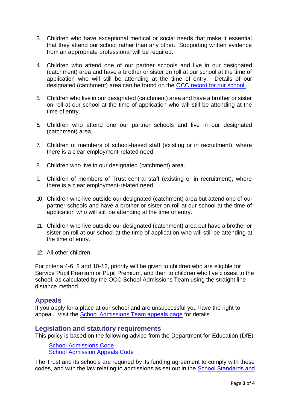- 3. Children who have exceptional medical or social needs that make it essential that they attend our school rather than any other. Supporting written evidence from an appropriate professional will be required.
- 4. Children who attend one of our partner schools and live in our designated (catchment) area and have a brother or sister on roll at our school at the time of application who will still be attending at the time of entry. Details of our designated (catchment) area can be found on the [OCC record for our school.](https://www.oxfordshire.gov.uk/residents/schools/list)
- 5. Children who live in our designated (catchment) area and have a brother or sister on roll at our school at the time of application who will still be attending at the time of entry.
- 6. Children who attend one our partner schools and live in our designated (catchment) area.
- 7. Children of members of school-based staff (existing or in recruitment), where there is a clear employment-related need.
- 8. Children who live in our designated (catchment) area.
- 9. Children of members of Trust central staff (existing or in recruitment), where there is a clear employment-related need.
- 10. Children who live outside our designated (catchment) area but attend one of our partner schools and have a brother or sister on roll at our school at the time of application who will still be attending at the time of entry.
- 11. Children who live outside our designated (catchment) area but have a brother or sister on roll at our school at the time of application who will still be attending at the time of entry.
- 12. All other children.

For criteria 4-6, 8 and 10-12, priority will be given to children who are eligible for Service Pupil Premium or Pupil Premium, and then to children who live closest to the school, as calculated by the OCC School Admissions Team using the straight line distance method.

#### **Appeals**

If you apply for a place at our school and are unsuccessful you have the right to appeal. Visit the [School Admissions Team appeals page](https://www.oxfordshire.gov.uk/residents/schools/apply-school-place/school-appeals) for details.

#### **Legislation and statutory requirements**

This policy is based on the following advice from the Department for Education (DfE):

[School Admissions Code](https://www.gov.uk/government/publications/school-admissions-code--2) [School Admission Appeals Code](https://www.gov.uk/government/publications/school-admissions-appeals-code)

The Trust and its schools are required by its funding agreement to comply with these codes, and with the law relating to admissions as set out in the [School Standards and](http://www.legislation.gov.uk/ukpga/1998/31/contents)